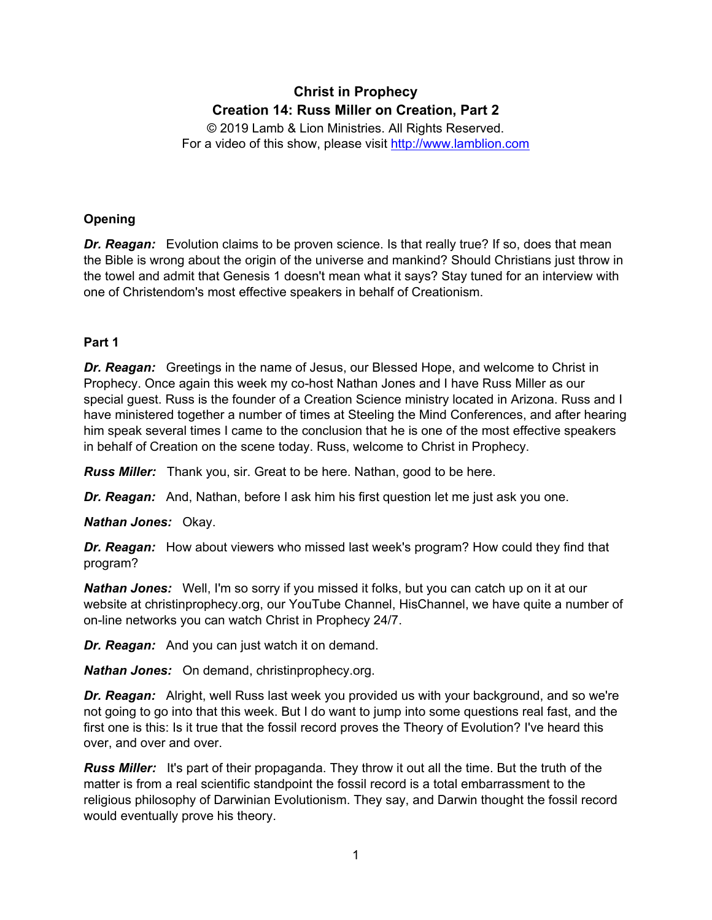# **Christ in Prophecy Creation 14: Russ Miller on Creation, Part 2**

© 2019 Lamb & Lion Ministries. All Rights Reserved. For a video of this show, please visit [http://www.lamblion.com](http://www.lamblion.com/)

# **Opening**

**Dr. Reagan:** Evolution claims to be proven science. Is that really true? If so, does that mean the Bible is wrong about the origin of the universe and mankind? Should Christians just throw in the towel and admit that Genesis 1 doesn't mean what it says? Stay tuned for an interview with one of Christendom's most effective speakers in behalf of Creationism.

# **Part 1**

*Dr. Reagan:* Greetings in the name of Jesus, our Blessed Hope, and welcome to Christ in Prophecy. Once again this week my co-host Nathan Jones and I have Russ Miller as our special guest. Russ is the founder of a Creation Science ministry located in Arizona. Russ and I have ministered together a number of times at Steeling the Mind Conferences, and after hearing him speak several times I came to the conclusion that he is one of the most effective speakers in behalf of Creation on the scene today. Russ, welcome to Christ in Prophecy.

*Russ Miller:* Thank you, sir. Great to be here. Nathan, good to be here.

*Dr. Reagan:* And, Nathan, before I ask him his first question let me just ask you one.

*Nathan Jones:* Okay.

*Dr. Reagan:* How about viewers who missed last week's program? How could they find that program?

*Nathan Jones:* Well, I'm so sorry if you missed it folks, but you can catch up on it at our website at christinprophecy.org, our YouTube Channel, HisChannel, we have quite a number of on-line networks you can watch Christ in Prophecy 24/7.

*Dr. Reagan:* And you can just watch it on demand.

*Nathan Jones:* On demand, christinprophecy.org.

*Dr. Reagan:* Alright, well Russ last week you provided us with your background, and so we're not going to go into that this week. But I do want to jump into some questions real fast, and the first one is this: Is it true that the fossil record proves the Theory of Evolution? I've heard this over, and over and over.

*Russ Miller:* It's part of their propaganda. They throw it out all the time. But the truth of the matter is from a real scientific standpoint the fossil record is a total embarrassment to the religious philosophy of Darwinian Evolutionism. They say, and Darwin thought the fossil record would eventually prove his theory.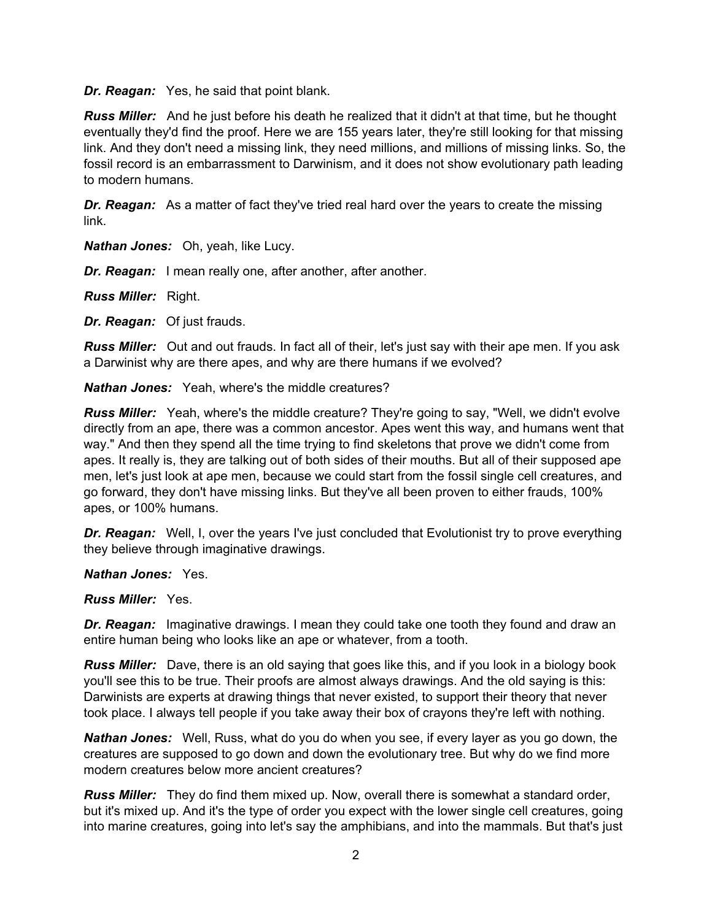*Dr. Reagan:* Yes, he said that point blank.

*Russ Miller:* And he just before his death he realized that it didn't at that time, but he thought eventually they'd find the proof. Here we are 155 years later, they're still looking for that missing link. And they don't need a missing link, they need millions, and millions of missing links. So, the fossil record is an embarrassment to Darwinism, and it does not show evolutionary path leading to modern humans.

**Dr. Reagan:** As a matter of fact they've tried real hard over the years to create the missing link.

*Nathan Jones:* Oh, yeah, like Lucy.

*Dr. Reagan:* I mean really one, after another, after another.

*Russ Miller:* Right.

*Dr. Reagan:* Of just frauds.

*Russ Miller:* Out and out frauds. In fact all of their, let's just say with their ape men. If you ask a Darwinist why are there apes, and why are there humans if we evolved?

*Nathan Jones:* Yeah, where's the middle creatures?

*Russ Miller:* Yeah, where's the middle creature? They're going to say, "Well, we didn't evolve directly from an ape, there was a common ancestor. Apes went this way, and humans went that way." And then they spend all the time trying to find skeletons that prove we didn't come from apes. It really is, they are talking out of both sides of their mouths. But all of their supposed ape men, let's just look at ape men, because we could start from the fossil single cell creatures, and go forward, they don't have missing links. But they've all been proven to either frauds, 100% apes, or 100% humans.

*Dr. Reagan:* Well, I, over the years I've just concluded that Evolutionist try to prove everything they believe through imaginative drawings.

#### *Nathan Jones:* Yes.

*Russ Miller:* Yes.

*Dr. Reagan:* Imaginative drawings. I mean they could take one tooth they found and draw an entire human being who looks like an ape or whatever, from a tooth.

*Russ Miller:* Dave, there is an old saying that goes like this, and if you look in a biology book you'll see this to be true. Their proofs are almost always drawings. And the old saying is this: Darwinists are experts at drawing things that never existed, to support their theory that never took place. I always tell people if you take away their box of crayons they're left with nothing.

*Nathan Jones:* Well, Russ, what do you do when you see, if every layer as you go down, the creatures are supposed to go down and down the evolutionary tree. But why do we find more modern creatures below more ancient creatures?

*Russ Miller:* They do find them mixed up. Now, overall there is somewhat a standard order, but it's mixed up. And it's the type of order you expect with the lower single cell creatures, going into marine creatures, going into let's say the amphibians, and into the mammals. But that's just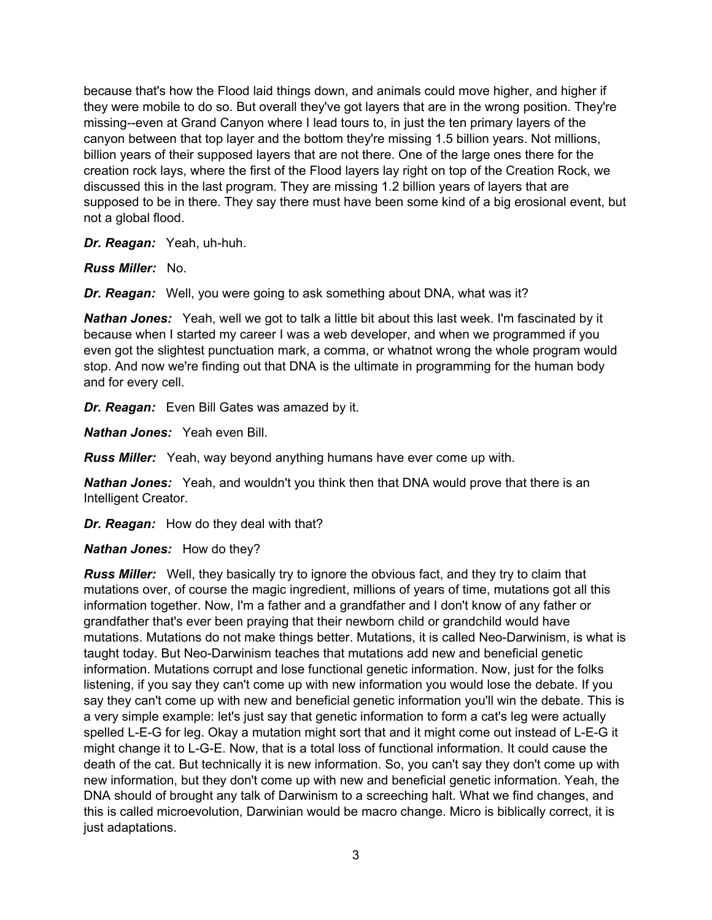because that's how the Flood laid things down, and animals could move higher, and higher if they were mobile to do so. But overall they've got layers that are in the wrong position. They're missing--even at Grand Canyon where I lead tours to, in just the ten primary layers of the canyon between that top layer and the bottom they're missing 1.5 billion years. Not millions, billion years of their supposed layers that are not there. One of the large ones there for the creation rock lays, where the first of the Flood layers lay right on top of the Creation Rock, we discussed this in the last program. They are missing 1.2 billion years of layers that are supposed to be in there. They say there must have been some kind of a big erosional event, but not a global flood.

*Dr. Reagan:* Yeah, uh-huh.

*Russ Miller:* No.

*Dr. Reagan:* Well, you were going to ask something about DNA, what was it?

*Nathan Jones:* Yeah, well we got to talk a little bit about this last week. I'm fascinated by it because when I started my career I was a web developer, and when we programmed if you even got the slightest punctuation mark, a comma, or whatnot wrong the whole program would stop. And now we're finding out that DNA is the ultimate in programming for the human body and for every cell.

*Dr. Reagan:* Even Bill Gates was amazed by it.

*Nathan Jones:* Yeah even Bill.

*Russ Miller:* Yeah, way beyond anything humans have ever come up with.

*Nathan Jones:* Yeah, and wouldn't you think then that DNA would prove that there is an Intelligent Creator.

*Dr. Reagan:* How do they deal with that?

*Nathan Jones:* How do they?

*Russ Miller:* Well, they basically try to ignore the obvious fact, and they try to claim that mutations over, of course the magic ingredient, millions of years of time, mutations got all this information together. Now, I'm a father and a grandfather and I don't know of any father or grandfather that's ever been praying that their newborn child or grandchild would have mutations. Mutations do not make things better. Mutations, it is called Neo-Darwinism, is what is taught today. But Neo-Darwinism teaches that mutations add new and beneficial genetic information. Mutations corrupt and lose functional genetic information. Now, just for the folks listening, if you say they can't come up with new information you would lose the debate. If you say they can't come up with new and beneficial genetic information you'll win the debate. This is a very simple example: let's just say that genetic information to form a cat's leg were actually spelled L-E-G for leg. Okay a mutation might sort that and it might come out instead of L-E-G it might change it to L-G-E. Now, that is a total loss of functional information. It could cause the death of the cat. But technically it is new information. So, you can't say they don't come up with new information, but they don't come up with new and beneficial genetic information. Yeah, the DNA should of brought any talk of Darwinism to a screeching halt. What we find changes, and this is called microevolution, Darwinian would be macro change. Micro is biblically correct, it is just adaptations.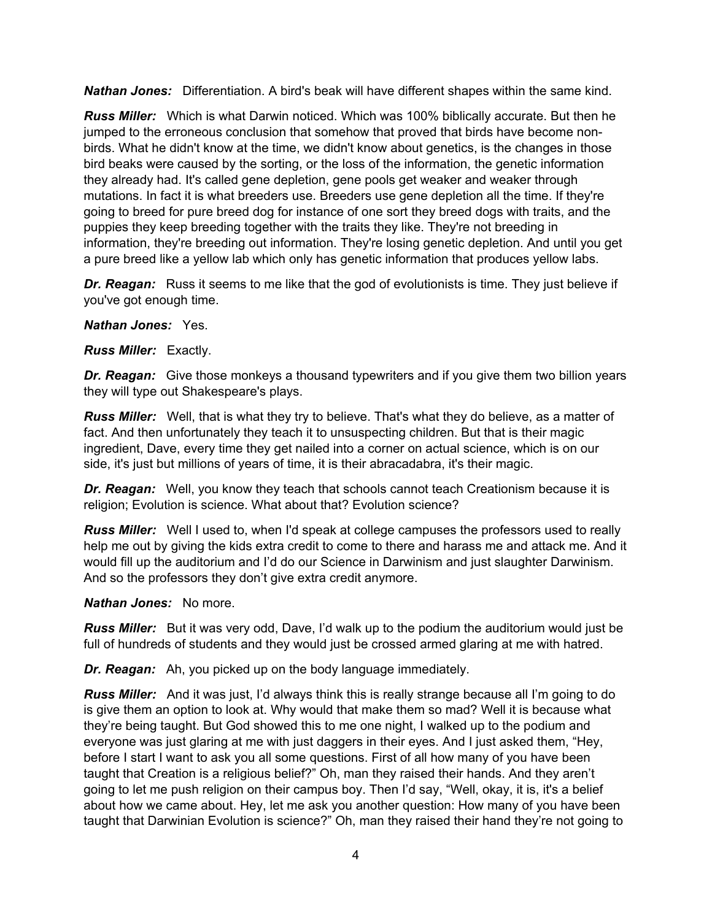*Nathan Jones:* Differentiation. A bird's beak will have different shapes within the same kind.

*Russ Miller:* Which is what Darwin noticed. Which was 100% biblically accurate. But then he jumped to the erroneous conclusion that somehow that proved that birds have become nonbirds. What he didn't know at the time, we didn't know about genetics, is the changes in those bird beaks were caused by the sorting, or the loss of the information, the genetic information they already had. It's called gene depletion, gene pools get weaker and weaker through mutations. In fact it is what breeders use. Breeders use gene depletion all the time. If they're going to breed for pure breed dog for instance of one sort they breed dogs with traits, and the puppies they keep breeding together with the traits they like. They're not breeding in information, they're breeding out information. They're losing genetic depletion. And until you get a pure breed like a yellow lab which only has genetic information that produces yellow labs.

*Dr. Reagan:* Russ it seems to me like that the god of evolutionists is time. They just believe if you've got enough time.

#### *Nathan Jones:* Yes.

*Russ Miller:* Exactly.

**Dr. Reagan:** Give those monkeys a thousand typewriters and if you give them two billion years they will type out Shakespeare's plays.

*Russ Miller:* Well, that is what they try to believe. That's what they do believe, as a matter of fact. And then unfortunately they teach it to unsuspecting children. But that is their magic ingredient, Dave, every time they get nailed into a corner on actual science, which is on our side, it's just but millions of years of time, it is their abracadabra, it's their magic.

*Dr. Reagan:* Well, you know they teach that schools cannot teach Creationism because it is religion; Evolution is science. What about that? Evolution science?

*Russ Miller:* Well I used to, when I'd speak at college campuses the professors used to really help me out by giving the kids extra credit to come to there and harass me and attack me. And it would fill up the auditorium and I'd do our Science in Darwinism and just slaughter Darwinism. And so the professors they don't give extra credit anymore.

#### *Nathan Jones:* No more.

*Russ Miller:* But it was very odd, Dave, I'd walk up to the podium the auditorium would just be full of hundreds of students and they would just be crossed armed glaring at me with hatred.

*Dr. Reagan:* Ah, you picked up on the body language immediately.

*Russ Miller:* And it was just, I'd always think this is really strange because all I'm going to do is give them an option to look at. Why would that make them so mad? Well it is because what they're being taught. But God showed this to me one night, I walked up to the podium and everyone was just glaring at me with just daggers in their eyes. And I just asked them, "Hey, before I start I want to ask you all some questions. First of all how many of you have been taught that Creation is a religious belief?" Oh, man they raised their hands. And they aren't going to let me push religion on their campus boy. Then I'd say, "Well, okay, it is, it's a belief about how we came about. Hey, let me ask you another question: How many of you have been taught that Darwinian Evolution is science?" Oh, man they raised their hand they're not going to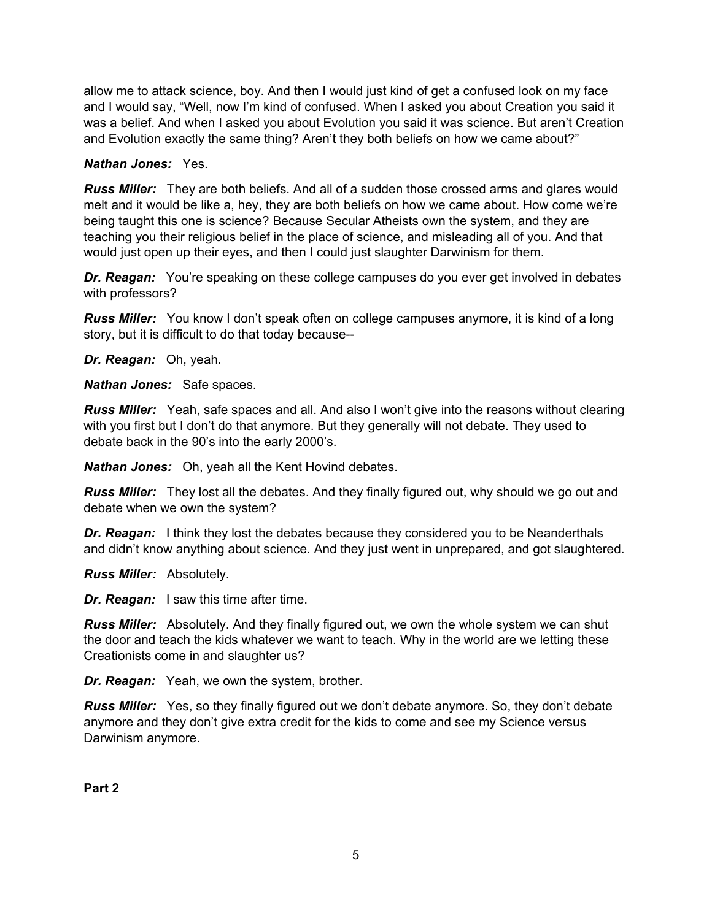allow me to attack science, boy. And then I would just kind of get a confused look on my face and I would say, "Well, now I'm kind of confused. When I asked you about Creation you said it was a belief. And when I asked you about Evolution you said it was science. But aren't Creation and Evolution exactly the same thing? Aren't they both beliefs on how we came about?"

#### *Nathan Jones:* Yes.

*Russ Miller:* They are both beliefs. And all of a sudden those crossed arms and glares would melt and it would be like a, hey, they are both beliefs on how we came about. How come we're being taught this one is science? Because Secular Atheists own the system, and they are teaching you their religious belief in the place of science, and misleading all of you. And that would just open up their eyes, and then I could just slaughter Darwinism for them.

*Dr. Reagan:* You're speaking on these college campuses do you ever get involved in debates with professors?

*Russ Miller:* You know I don't speak often on college campuses anymore, it is kind of a long story, but it is difficult to do that today because--

*Dr. Reagan:* Oh, yeah.

*Nathan Jones:* Safe spaces.

*Russ Miller:* Yeah, safe spaces and all. And also I won't give into the reasons without clearing with you first but I don't do that anymore. But they generally will not debate. They used to debate back in the 90's into the early 2000's.

*Nathan Jones:* Oh, yeah all the Kent Hovind debates.

*Russ Miller:* They lost all the debates. And they finally figured out, why should we go out and debate when we own the system?

*Dr. Reagan:* I think they lost the debates because they considered you to be Neanderthals and didn't know anything about science. And they just went in unprepared, and got slaughtered.

*Russ Miller:* Absolutely.

*Dr. Reagan:* I saw this time after time.

*Russ Miller:* Absolutely. And they finally figured out, we own the whole system we can shut the door and teach the kids whatever we want to teach. Why in the world are we letting these Creationists come in and slaughter us?

*Dr. Reagan:* Yeah, we own the system, brother.

*Russ Miller:* Yes, so they finally figured out we don't debate anymore. So, they don't debate anymore and they don't give extra credit for the kids to come and see my Science versus Darwinism anymore.

**Part 2**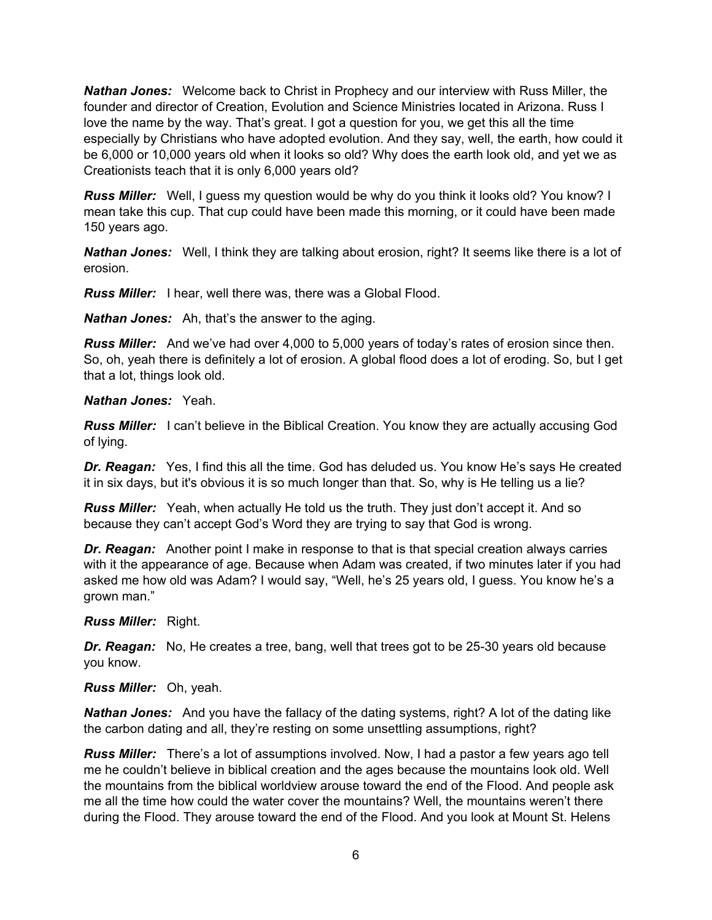*Nathan Jones:* Welcome back to Christ in Prophecy and our interview with Russ Miller, the founder and director of Creation, Evolution and Science Ministries located in Arizona. Russ I love the name by the way. That's great. I got a question for you, we get this all the time especially by Christians who have adopted evolution. And they say, well, the earth, how could it be 6,000 or 10,000 years old when it looks so old? Why does the earth look old, and yet we as Creationists teach that it is only 6,000 years old?

*Russ Miller:* Well, I guess my question would be why do you think it looks old? You know? I mean take this cup. That cup could have been made this morning, or it could have been made 150 years ago.

*Nathan Jones:* Well, I think they are talking about erosion, right? It seems like there is a lot of erosion.

*Russ Miller:* I hear, well there was, there was a Global Flood.

*Nathan Jones:* Ah, that's the answer to the aging.

*Russ Miller:* And we've had over 4,000 to 5,000 years of today's rates of erosion since then. So, oh, yeah there is definitely a lot of erosion. A global flood does a lot of eroding. So, but I get that a lot, things look old.

#### *Nathan Jones:* Yeah.

*Russ Miller:* I can't believe in the Biblical Creation. You know they are actually accusing God of lying.

*Dr. Reagan:* Yes, I find this all the time. God has deluded us. You know He's says He created it in six days, but it's obvious it is so much longer than that. So, why is He telling us a lie?

*Russ Miller:* Yeah, when actually He told us the truth. They just don't accept it. And so because they can't accept God's Word they are trying to say that God is wrong.

*Dr. Reagan:* Another point I make in response to that is that special creation always carries with it the appearance of age. Because when Adam was created, if two minutes later if you had asked me how old was Adam? I would say, "Well, he's 25 years old, I guess. You know he's a grown man."

*Russ Miller:* Right.

*Dr. Reagan:* No, He creates a tree, bang, well that trees got to be 25-30 years old because you know.

*Russ Miller:* Oh, yeah.

*Nathan Jones:* And you have the fallacy of the dating systems, right? A lot of the dating like the carbon dating and all, they're resting on some unsettling assumptions, right?

*Russ Miller:* There's a lot of assumptions involved. Now, I had a pastor a few years ago tell me he couldn't believe in biblical creation and the ages because the mountains look old. Well the mountains from the biblical worldview arouse toward the end of the Flood. And people ask me all the time how could the water cover the mountains? Well, the mountains weren't there during the Flood. They arouse toward the end of the Flood. And you look at Mount St. Helens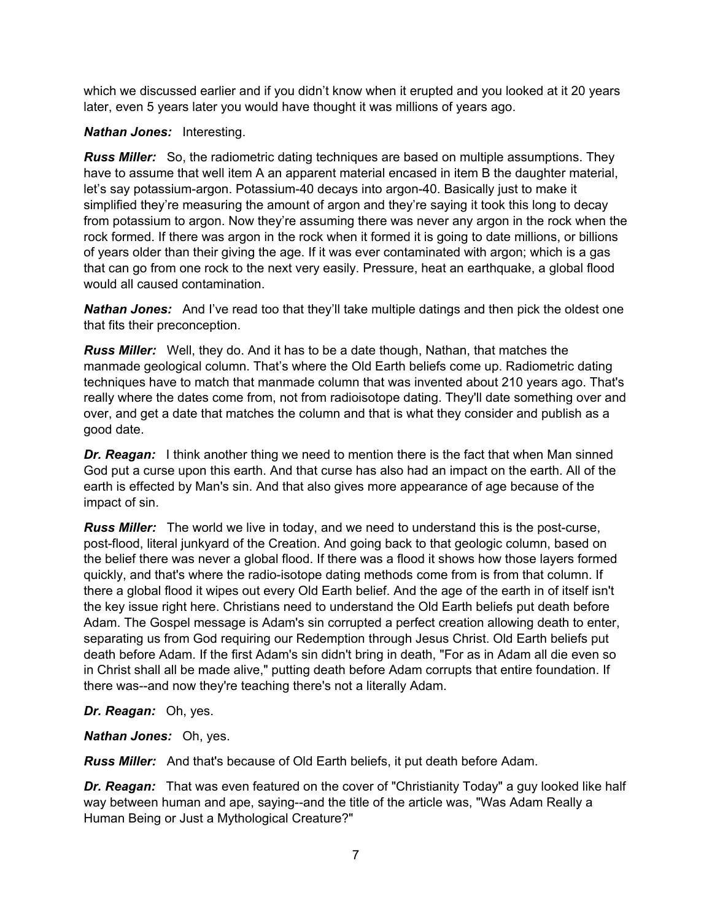which we discussed earlier and if you didn't know when it erupted and you looked at it 20 years later, even 5 years later you would have thought it was millions of years ago.

## *Nathan Jones:* Interesting.

*Russ Miller:* So, the radiometric dating techniques are based on multiple assumptions. They have to assume that well item A an apparent material encased in item B the daughter material, let's say potassium-argon. Potassium-40 decays into argon-40. Basically just to make it simplified they're measuring the amount of argon and they're saying it took this long to decay from potassium to argon. Now they're assuming there was never any argon in the rock when the rock formed. If there was argon in the rock when it formed it is going to date millions, or billions of years older than their giving the age. If it was ever contaminated with argon; which is a gas that can go from one rock to the next very easily. Pressure, heat an earthquake, a global flood would all caused contamination.

*Nathan Jones:* And I've read too that they'll take multiple datings and then pick the oldest one that fits their preconception.

*Russ Miller:* Well, they do. And it has to be a date though, Nathan, that matches the manmade geological column. That's where the Old Earth beliefs come up. Radiometric dating techniques have to match that manmade column that was invented about 210 years ago. That's really where the dates come from, not from radioisotope dating. They'll date something over and over, and get a date that matches the column and that is what they consider and publish as a good date.

*Dr. Reagan:* I think another thing we need to mention there is the fact that when Man sinned God put a curse upon this earth. And that curse has also had an impact on the earth. All of the earth is effected by Man's sin. And that also gives more appearance of age because of the impact of sin.

*Russ Miller:* The world we live in today, and we need to understand this is the post-curse, post-flood, literal junkyard of the Creation. And going back to that geologic column, based on the belief there was never a global flood. If there was a flood it shows how those layers formed quickly, and that's where the radio-isotope dating methods come from is from that column. If there a global flood it wipes out every Old Earth belief. And the age of the earth in of itself isn't the key issue right here. Christians need to understand the Old Earth beliefs put death before Adam. The Gospel message is Adam's sin corrupted a perfect creation allowing death to enter, separating us from God requiring our Redemption through Jesus Christ. Old Earth beliefs put death before Adam. If the first Adam's sin didn't bring in death, "For as in Adam all die even so in Christ shall all be made alive," putting death before Adam corrupts that entire foundation. If there was--and now they're teaching there's not a literally Adam.

*Dr. Reagan:* Oh, yes.

*Nathan Jones:* Oh, yes.

*Russ Miller:* And that's because of Old Earth beliefs, it put death before Adam.

*Dr. Reagan:* That was even featured on the cover of "Christianity Today" a guy looked like half way between human and ape, saying--and the title of the article was, "Was Adam Really a Human Being or Just a Mythological Creature?"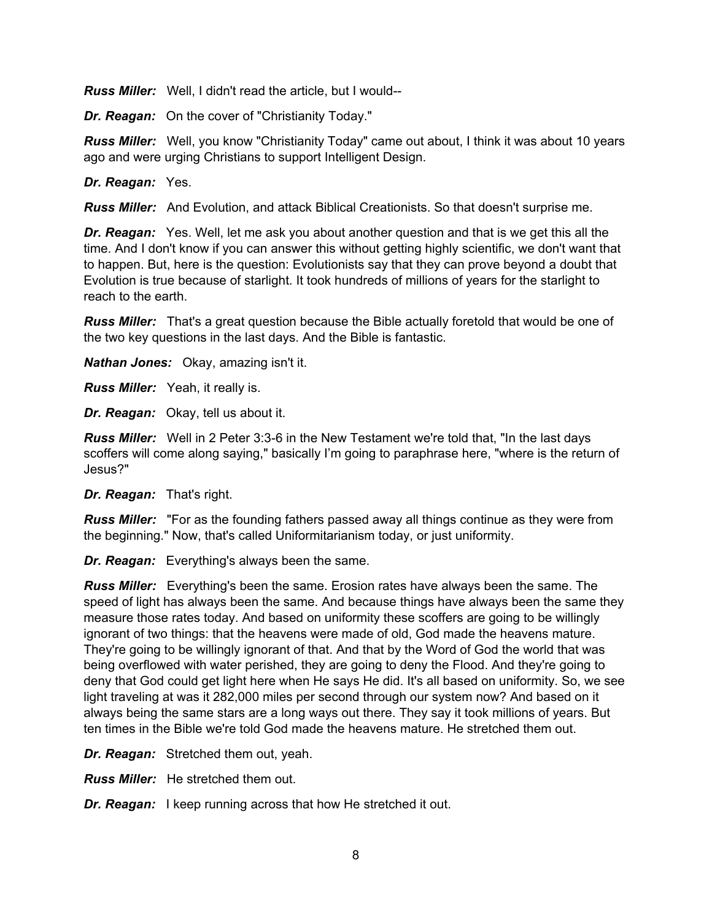*Russ Miller:* Well, I didn't read the article, but I would--

*Dr. Reagan:* On the cover of "Christianity Today."

*Russ Miller:* Well, you know "Christianity Today" came out about, I think it was about 10 years ago and were urging Christians to support Intelligent Design.

*Dr. Reagan:* Yes.

*Russ Miller:* And Evolution, and attack Biblical Creationists. So that doesn't surprise me.

*Dr. Reagan:* Yes. Well, let me ask you about another question and that is we get this all the time. And I don't know if you can answer this without getting highly scientific, we don't want that to happen. But, here is the question: Evolutionists say that they can prove beyond a doubt that Evolution is true because of starlight. It took hundreds of millions of years for the starlight to reach to the earth.

*Russ Miller:* That's a great question because the Bible actually foretold that would be one of the two key questions in the last days. And the Bible is fantastic.

*Nathan Jones:* Okay, amazing isn't it.

*Russ Miller:* Yeah, it really is.

*Dr. Reagan:* Okay, tell us about it.

*Russ Miller:* Well in 2 Peter 3:3-6 in the New Testament we're told that, "In the last days scoffers will come along saying," basically I'm going to paraphrase here, "where is the return of Jesus?"

*Dr. Reagan:* That's right.

*Russ Miller:* "For as the founding fathers passed away all things continue as they were from the beginning." Now, that's called Uniformitarianism today, or just uniformity.

*Dr. Reagan:* Everything's always been the same.

*Russ Miller:* Everything's been the same. Erosion rates have always been the same. The speed of light has always been the same. And because things have always been the same they measure those rates today. And based on uniformity these scoffers are going to be willingly ignorant of two things: that the heavens were made of old, God made the heavens mature. They're going to be willingly ignorant of that. And that by the Word of God the world that was being overflowed with water perished, they are going to deny the Flood. And they're going to deny that God could get light here when He says He did. It's all based on uniformity. So, we see light traveling at was it 282,000 miles per second through our system now? And based on it always being the same stars are a long ways out there. They say it took millions of years. But ten times in the Bible we're told God made the heavens mature. He stretched them out.

*Dr. Reagan:* Stretched them out, yeah.

*Russ Miller:* He stretched them out.

*Dr. Reagan:* I keep running across that how He stretched it out.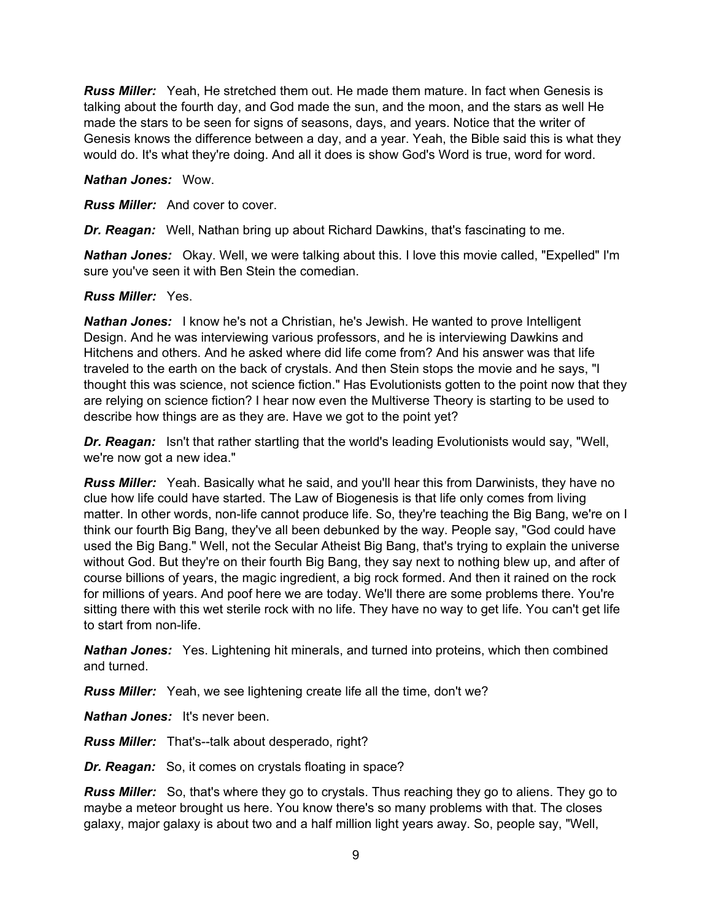*Russ Miller:* Yeah, He stretched them out. He made them mature. In fact when Genesis is talking about the fourth day, and God made the sun, and the moon, and the stars as well He made the stars to be seen for signs of seasons, days, and years. Notice that the writer of Genesis knows the difference between a day, and a year. Yeah, the Bible said this is what they would do. It's what they're doing. And all it does is show God's Word is true, word for word.

#### *Nathan Jones:* Wow.

*Russ Miller:* And cover to cover.

*Dr. Reagan:* Well, Nathan bring up about Richard Dawkins, that's fascinating to me.

*Nathan Jones:* Okay. Well, we were talking about this. I love this movie called, "Expelled" I'm sure you've seen it with Ben Stein the comedian.

#### *Russ Miller:* Yes.

*Nathan Jones:* I know he's not a Christian, he's Jewish. He wanted to prove Intelligent Design. And he was interviewing various professors, and he is interviewing Dawkins and Hitchens and others. And he asked where did life come from? And his answer was that life traveled to the earth on the back of crystals. And then Stein stops the movie and he says, "I thought this was science, not science fiction." Has Evolutionists gotten to the point now that they are relying on science fiction? I hear now even the Multiverse Theory is starting to be used to describe how things are as they are. Have we got to the point yet?

*Dr. Reagan:* Isn't that rather startling that the world's leading Evolutionists would say, "Well, we're now got a new idea."

*Russ Miller:* Yeah. Basically what he said, and you'll hear this from Darwinists, they have no clue how life could have started. The Law of Biogenesis is that life only comes from living matter. In other words, non-life cannot produce life. So, they're teaching the Big Bang, we're on I think our fourth Big Bang, they've all been debunked by the way. People say, "God could have used the Big Bang." Well, not the Secular Atheist Big Bang, that's trying to explain the universe without God. But they're on their fourth Big Bang, they say next to nothing blew up, and after of course billions of years, the magic ingredient, a big rock formed. And then it rained on the rock for millions of years. And poof here we are today. We'll there are some problems there. You're sitting there with this wet sterile rock with no life. They have no way to get life. You can't get life to start from non-life.

*Nathan Jones:* Yes. Lightening hit minerals, and turned into proteins, which then combined and turned.

*Russ Miller:* Yeah, we see lightening create life all the time, don't we?

*Nathan Jones:* It's never been.

*Russ Miller:* That's--talk about desperado, right?

*Dr. Reagan:* So, it comes on crystals floating in space?

*Russ Miller:* So, that's where they go to crystals. Thus reaching they go to aliens. They go to maybe a meteor brought us here. You know there's so many problems with that. The closes galaxy, major galaxy is about two and a half million light years away. So, people say, "Well,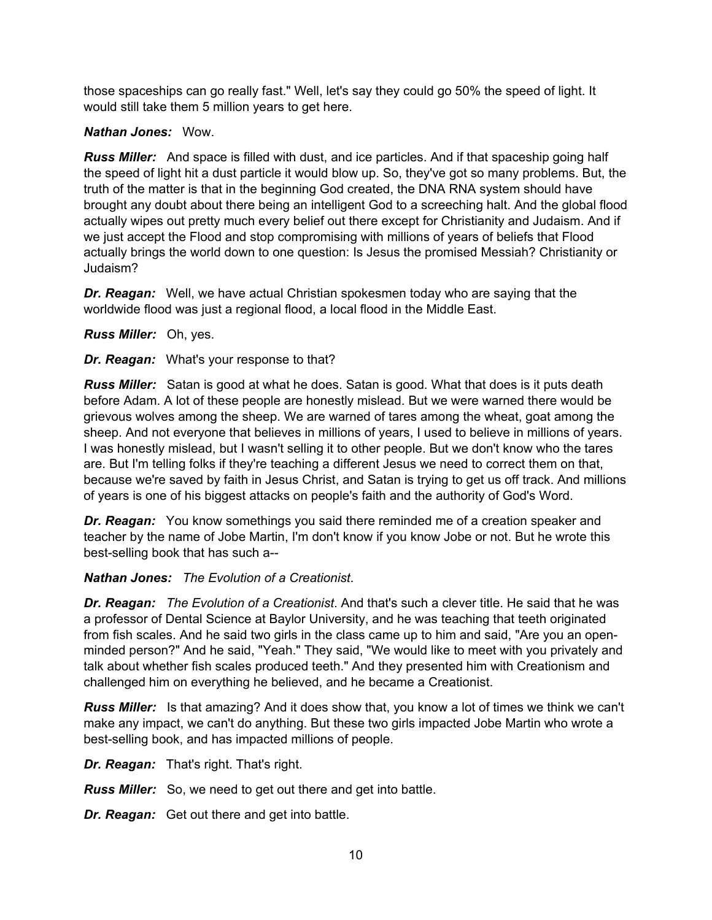those spaceships can go really fast." Well, let's say they could go 50% the speed of light. It would still take them 5 million years to get here.

## *Nathan Jones:* Wow.

*Russ Miller:* And space is filled with dust, and ice particles. And if that spaceship going half the speed of light hit a dust particle it would blow up. So, they've got so many problems. But, the truth of the matter is that in the beginning God created, the DNA RNA system should have brought any doubt about there being an intelligent God to a screeching halt. And the global flood actually wipes out pretty much every belief out there except for Christianity and Judaism. And if we just accept the Flood and stop compromising with millions of years of beliefs that Flood actually brings the world down to one question: Is Jesus the promised Messiah? Christianity or Judaism?

*Dr. Reagan:* Well, we have actual Christian spokesmen today who are saying that the worldwide flood was just a regional flood, a local flood in the Middle East.

# *Russ Miller:* Oh, yes.

*Dr. Reagan:* What's your response to that?

*Russ Miller:* Satan is good at what he does. Satan is good. What that does is it puts death before Adam. A lot of these people are honestly mislead. But we were warned there would be grievous wolves among the sheep. We are warned of tares among the wheat, goat among the sheep. And not everyone that believes in millions of years, I used to believe in millions of years. I was honestly mislead, but I wasn't selling it to other people. But we don't know who the tares are. But I'm telling folks if they're teaching a different Jesus we need to correct them on that, because we're saved by faith in Jesus Christ, and Satan is trying to get us off track. And millions of years is one of his biggest attacks on people's faith and the authority of God's Word.

*Dr. Reagan:* You know somethings you said there reminded me of a creation speaker and teacher by the name of Jobe Martin, I'm don't know if you know Jobe or not. But he wrote this best-selling book that has such a--

*Nathan Jones: The Evolution of a Creationist*.

*Dr. Reagan: The Evolution of a Creationist*. And that's such a clever title. He said that he was a professor of Dental Science at Baylor University, and he was teaching that teeth originated from fish scales. And he said two girls in the class came up to him and said, "Are you an openminded person?" And he said, "Yeah." They said, "We would like to meet with you privately and talk about whether fish scales produced teeth." And they presented him with Creationism and challenged him on everything he believed, and he became a Creationist.

*Russ Miller:* Is that amazing? And it does show that, you know a lot of times we think we can't make any impact, we can't do anything. But these two girls impacted Jobe Martin who wrote a best-selling book, and has impacted millions of people.

*Dr. Reagan:* That's right. That's right.

*Russ Miller:* So, we need to get out there and get into battle.

*Dr. Reagan:* Get out there and get into battle.